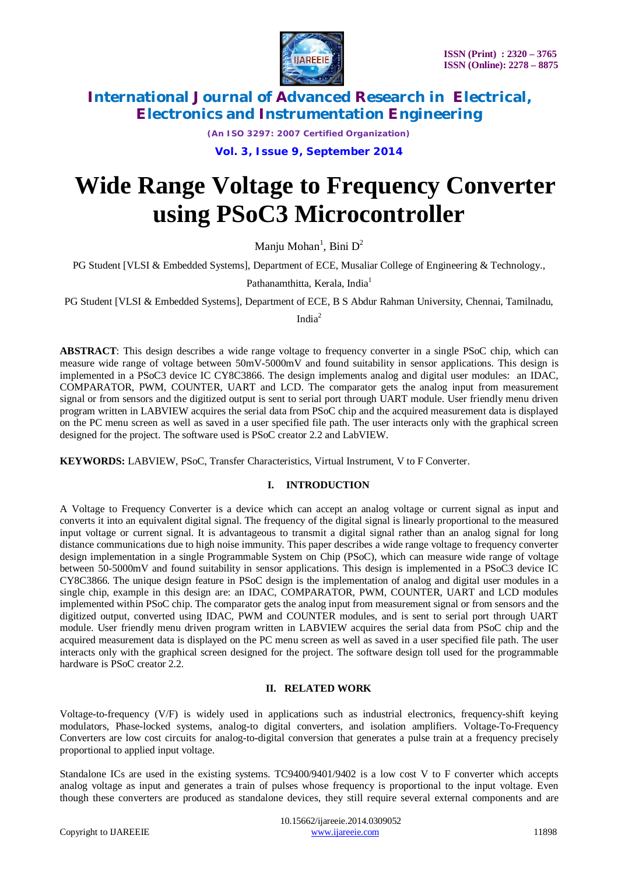

*(An ISO 3297: 2007 Certified Organization)*

**Vol. 3, Issue 9, September 2014**

# **Wide Range Voltage to Frequency Converter using PSoC3 Microcontroller**

Manju Mohan $^1$ , Bini D $^2$ 

PG Student [VLSI & Embedded Systems], Department of ECE, Musaliar College of Engineering & Technology.,

Pathanamthitta, Kerala, India<sup>1</sup>

PG Student [VLSI & Embedded Systems], Department of ECE, B S Abdur Rahman University, Chennai, Tamilnadu,

India<sup>2</sup>

**ABSTRACT**: This design describes a wide range voltage to frequency converter in a single PSoC chip, which can measure wide range of voltage between 50mV-5000mV and found suitability in sensor applications. This design is implemented in a PSoC3 device IC CY8C3866. The design implements analog and digital user modules: an IDAC, COMPARATOR, PWM, COUNTER, UART and LCD. The comparator gets the analog input from measurement signal or from sensors and the digitized output is sent to serial port through UART module. User friendly menu driven program written in LABVIEW acquires the serial data from PSoC chip and the acquired measurement data is displayed on the PC menu screen as well as saved in a user specified file path. The user interacts only with the graphical screen designed for the project. The software used is PSoC creator 2.2 and LabVIEW.

**KEYWORDS:** LABVIEW, PSoC, Transfer Characteristics, Virtual Instrument, V to F Converter.

## **I. INTRODUCTION**

A Voltage to Frequency Converter is a device which can accept an analog voltage or current signal as input and converts it into an equivalent digital signal. The frequency of the digital signal is linearly proportional to the measured input voltage or current signal. It is advantageous to transmit a digital signal rather than an analog signal for long distance communications due to high noise immunity. This paper describes a wide range voltage to frequency converter design implementation in a single Programmable System on Chip (PSoC), which can measure wide range of voltage between 50-5000mV and found suitability in sensor applications. This design is implemented in a PSoC3 device IC CY8C3866. The unique design feature in PSoC design is the implementation of analog and digital user modules in a single chip, example in this design are: an IDAC, COMPARATOR, PWM, COUNTER, UART and LCD modules implemented within PSoC chip. The comparator gets the analog input from measurement signal or from sensors and the digitized output, converted using IDAC, PWM and COUNTER modules, and is sent to serial port through UART module. User friendly menu driven program written in LABVIEW acquires the serial data from PSoC chip and the acquired measurement data is displayed on the PC menu screen as well as saved in a user specified file path. The user interacts only with the graphical screen designed for the project. The software design toll used for the programmable hardware is PSoC creator 2.2.

# **II. RELATED WORK**

Voltage-to-frequency (V/F) is widely used in applications such as industrial electronics, frequency-shift keying modulators, Phase-locked systems, analog-to digital converters, and isolation amplifiers. Voltage-To-Frequency Converters are low cost circuits for analog-to-digital conversion that generates a pulse train at a frequency precisely proportional to applied input voltage.

Standalone ICs are used in the existing systems. TC9400/9401/9402 is a low cost V to F converter which accepts analog voltage as input and generates a train of pulses whose frequency is proportional to the input voltage. Even though these converters are produced as standalone devices, they still require several external components and are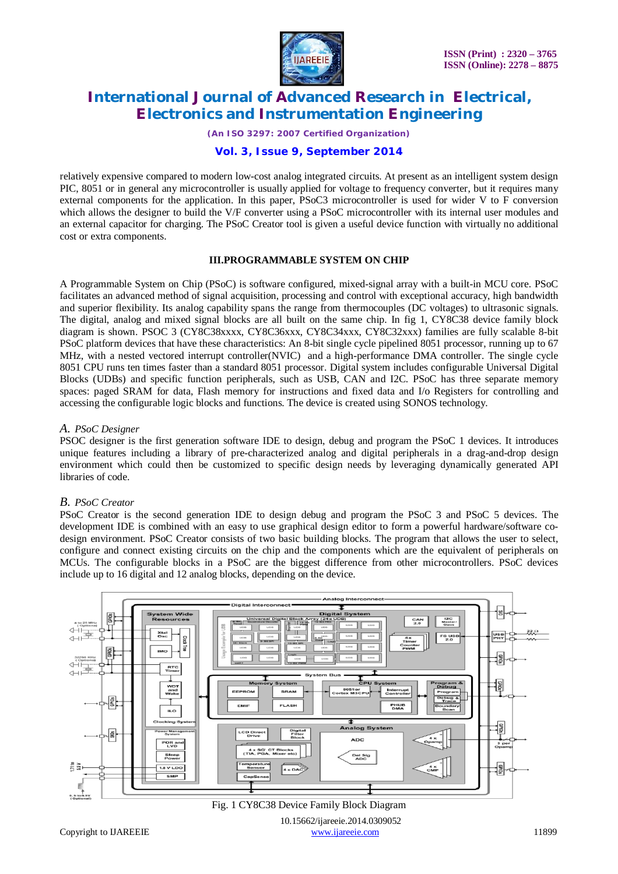

*(An ISO 3297: 2007 Certified Organization)*

## **Vol. 3, Issue 9, September 2014**

relatively expensive compared to modern low-cost analog integrated circuits. At present as an intelligent system design PIC, 8051 or in general any microcontroller is usually applied for voltage to frequency converter, but it requires many external components for the application. In this paper, PSoC3 microcontroller is used for wider V to F conversion which allows the designer to build the V/F converter using a PSoC microcontroller with its internal user modules and an external capacitor for charging. The PSoC Creator tool is given a useful device function with virtually no additional cost or extra components.

### **III.PROGRAMMABLE SYSTEM ON CHIP**

A Programmable System on Chip (PSoC) is software configured, mixed-signal array with a built-in MCU core. PSoC facilitates an advanced method of signal acquisition, processing and control with exceptional accuracy, high bandwidth and superior flexibility. Its analog capability spans the range from thermocouples (DC voltages) to ultrasonic signals. The digital, analog and mixed signal blocks are all built on the same chip. In fig 1, CY8C38 device family block diagram is shown. PSOC 3 (CY8C38xxxx, CY8C36xxx, CY8C34xxx, CY8C32xxx) families are fully scalable 8-bit PSoC platform devices that have these characteristics: An 8-bit single cycle pipelined 8051 processor, running up to 67 MHz, with a nested vectored interrupt controller(NVIC) and a high-performance DMA controller. The single cycle 8051 CPU runs ten times faster than a standard 8051 processor. Digital system includes configurable Universal Digital Blocks (UDBs) and specific function peripherals, such as USB, CAN and I2C. PSoC has three separate memory spaces: paged SRAM for data, Flash memory for instructions and fixed data and I/o Registers for controlling and accessing the configurable logic blocks and functions. The device is created using SONOS technology.

#### *A. PSoC Designer*

PSOC designer is the first generation software IDE to design, debug and program the PSoC 1 devices. It introduces unique features including a library of pre-characterized analog and digital peripherals in a drag-and-drop design environment which could then be customized to specific design needs by leveraging dynamically generated API libraries of code.

## *B. PSoC Creator*

PSoC Creator is the second generation IDE to design debug and program the PSoC 3 and PSoC 5 devices. The development IDE is combined with an easy to use graphical design editor to form a powerful hardware/software codesign environment. PSoC Creator consists of two basic building blocks. The program that allows the user to select, configure and connect existing circuits on the chip and the components which are the equivalent of peripherals on MCUs. The configurable blocks in a PSoC are the biggest difference from other microcontrollers. PSoC devices include up to 16 digital and 12 analog blocks, depending on the device.



 10.15662/ijareeie.2014.0309052 Copyright to IJAREEIE and the community of the contract of the contract of the contract of the contract of the contract of the contract of the contract of the contract of the contract of the contract of the contract of the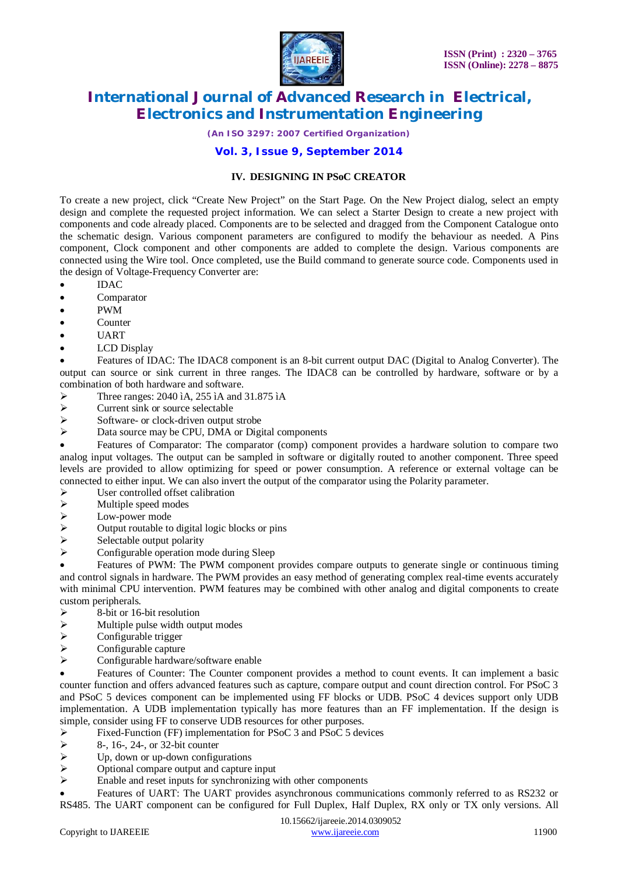

*(An ISO 3297: 2007 Certified Organization)*

## **Vol. 3, Issue 9, September 2014**

#### **IV. DESIGNING IN PSoC CREATOR**

To create a new project, click "Create New Project" on the Start Page. On the New Project dialog, select an empty design and complete the requested project information. We can select a Starter Design to create a new project with components and code already placed. Components are to be selected and dragged from the Component Catalogue onto the schematic design. Various component parameters are configured to modify the behaviour as needed. A Pins component, Clock component and other components are added to complete the design. Various components are connected using the Wire tool. Once completed, use the Build command to generate source code. Components used in the design of Voltage-Frequency Converter are:

- IDAC
- Comparator
- PWM
- Counter
- UART
- LCD Display

 Features of IDAC: The IDAC8 component is an 8-bit current output DAC (Digital to Analog Converter). The output can source or sink current in three ranges. The IDAC8 can be controlled by hardware, software or by a combination of both hardware and software.

- Three ranges: 2040 ìA, 255 ìA and 31.875 ìA<br>
Surrent sink or source selectable
- $\triangleright$  Current sink or source selectable<br> $\triangleright$  Software- or clock-driven output
- $\triangleright$  Software- or clock-driven output strobe<br> $\triangleright$  Data source may be CPU DMA or Digital
- Data source may be CPU, DMA or Digital components

 Features of Comparator: The comparator (comp) component provides a hardware solution to compare two analog input voltages. The output can be sampled in software or digitally routed to another component. Three speed levels are provided to allow optimizing for speed or power consumption. A reference or external voltage can be connected to either input. We can also invert the output of the comparator using the Polarity parameter.

- $\triangleright$  User controlled offset calibration<br> $\triangleright$  Multiple speed modes
- $\triangleright$  Multiple speed modes<br> $\triangleright$  Low-power mode
- $\geq$  Low-power mode<br> $\geq$  Output routable to
- $\triangleright$  Output routable to digital logic blocks or pins<br> $\triangleright$  Selectable output polarity
- $\triangleright$  Selectable output polarity<br> $\triangleright$  Configurable operation me
- Configurable operation mode during Sleep

 Features of PWM: The PWM component provides compare outputs to generate single or continuous timing and control signals in hardware. The PWM provides an easy method of generating complex real-time events accurately with minimal CPU intervention. PWM features may be combined with other analog and digital components to create custom peripherals.

- $\geq$  8-bit or 16-bit resolution<br> $\geq$  Multiple pulse width out
- $\triangleright$  Multiple pulse width output modes<br>  $\triangleright$  Configurable trigger
- $\triangleright$  Configurable trigger
- Configurable capture
- $\triangleright$  Configurable hardware/software enable

 Features of Counter: The Counter component provides a method to count events. It can implement a basic counter function and offers advanced features such as capture, compare output and count direction control. For PSoC 3 and PSoC 5 devices component can be implemented using FF blocks or UDB. PSoC 4 devices support only UDB implementation. A UDB implementation typically has more features than an FF implementation. If the design is simple, consider using FF to conserve UDB resources for other purposes.<br>  $\triangleright$  Fixed-Function (FF) implementation for PSoC 3 and PSoC 5 dev

- Fixed-Function (FF) implementation for PSoC 3 and PSoC 5 devices<br>  $\ge$  8-, 16-, 24-, or 32-bit counter
- $\ge$  8-, 16-, 24-, or 32-bit counter<br> $\ge$  Up, down or up-down configu
- $\triangleright$  Up, down or up-down configurations<br> $\triangleright$  Optional compare output and capture
- $\triangleright$  Optional compare output and capture input<br> $\triangleright$  Enable and reset inputs for synchronizing w
- Enable and reset inputs for synchronizing with other components

 Features of UART: The UART provides asynchronous communications commonly referred to as RS232 or RS485. The UART component can be configured for Full Duplex, Half Duplex, RX only or TX only versions. All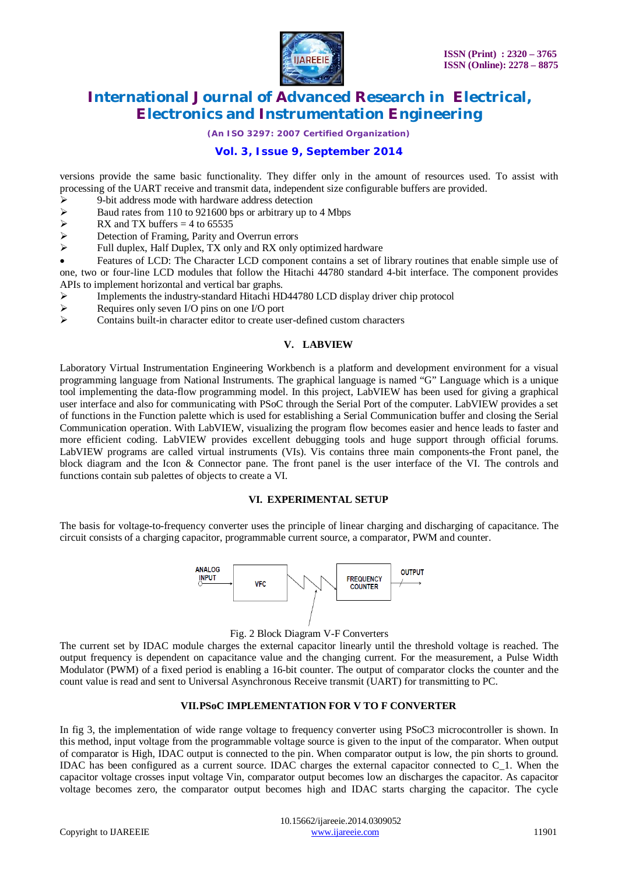

*(An ISO 3297: 2007 Certified Organization)*

# **Vol. 3, Issue 9, September 2014**

versions provide the same basic functionality. They differ only in the amount of resources used. To assist with processing of the UART receive and transmit data, independent size configurable buffers are provided.

- $\geq$  9-bit address mode with hardware address detection<br> $\geq$  Baud rates from 110 to 921600 bps or arbitrary up to
- Baud rates from 110 to 921600 bps or arbitrary up to 4 Mbps<br>  $\triangleright$  RX and TX buffers = 4 to 65535
- RX and TX buffers = 4 to 65535<br>
Petection of Framing, Parity and
- $\triangleright$  Detection of Framing, Parity and Overrun errors<br> $\triangleright$  Full duplex Half Duplex TX only and RX only
- Full duplex, Half Duplex, TX only and RX only optimized hardware

 Features of LCD: The Character LCD component contains a set of library routines that enable simple use of one, two or four-line LCD modules that follow the Hitachi 44780 standard 4-bit interface. The component provides APIs to implement horizontal and vertical bar graphs.

- > Implements the industry-standard Hitachi HD44780 LCD display driver chip protocol <br>  $\triangleright$  Requires only seven I/O pins on one I/O port
- Requires only seven I/O pins on one I/O port<br>  $\geq$  Contains built-in character editor to create use
- Contains built-in character editor to create user-defined custom characters

## **V. LABVIEW**

Laboratory Virtual Instrumentation Engineering Workbench is a platform and development environment for a visual programming language from National Instruments. The graphical language is named "G" Language which is a unique tool implementing the data-flow programming model. In this project, LabVIEW has been used for giving a graphical user interface and also for communicating with PSoC through the Serial Port of the computer. LabVIEW provides a set of functions in the Function palette which is used for establishing a Serial Communication buffer and closing the Serial Communication operation. With LabVIEW, visualizing the program flow becomes easier and hence leads to faster and more efficient coding. LabVIEW provides excellent debugging tools and huge support through official forums. LabVIEW programs are called virtual instruments (VIs). Vis contains three main components-the Front panel, the block diagram and the Icon & Connector pane. The front panel is the user interface of the VI. The controls and functions contain sub palettes of objects to create a VI.

#### **VI. EXPERIMENTAL SETUP**

The basis for voltage-to-frequency converter uses the principle of linear charging and discharging of capacitance. The circuit consists of a charging capacitor, programmable current source, a comparator, PWM and counter.



#### Fig. 2 Block Diagram V-F Converters

The current set by IDAC module charges the external capacitor linearly until the threshold voltage is reached. The output frequency is dependent on capacitance value and the changing current. For the measurement, a Pulse Width Modulator (PWM) of a fixed period is enabling a 16-bit counter. The output of comparator clocks the counter and the count value is read and sent to Universal Asynchronous Receive transmit (UART) for transmitting to PC.

#### **VII.PSoC IMPLEMENTATION FOR V TO F CONVERTER**

In fig 3, the implementation of wide range voltage to frequency converter using PSoC3 microcontroller is shown. In this method, input voltage from the programmable voltage source is given to the input of the comparator. When output of comparator is High, IDAC output is connected to the pin. When comparator output is low, the pin shorts to ground. IDAC has been configured as a current source. IDAC charges the external capacitor connected to C\_1. When the capacitor voltage crosses input voltage Vin, comparator output becomes low an discharges the capacitor. As capacitor voltage becomes zero, the comparator output becomes high and IDAC starts charging the capacitor. The cycle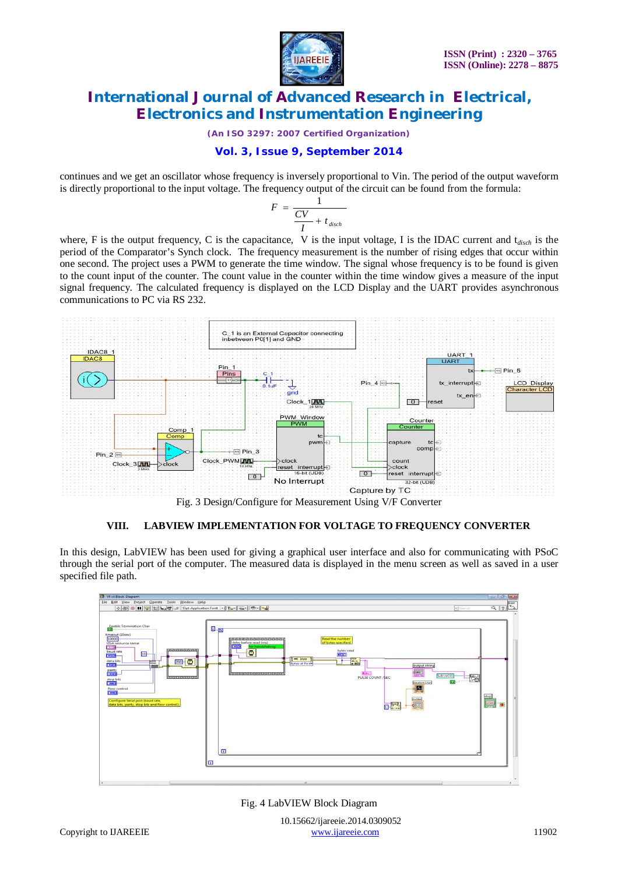

*(An ISO 3297: 2007 Certified Organization)*

# **Vol. 3, Issue 9, September 2014**

continues and we get an oscillator whose frequency is inversely proportional to Vin. The period of the output waveform is directly proportional to the input voltage. The frequency output of the circuit can be found from the formula:

$$
F = \frac{1}{\frac{CV}{I} + t_{\text{disch}}}
$$

where, F is the output frequency, C is the capacitance, V is the input voltage, I is the IDAC current and t*disch* is the period of the Comparator's Synch clock. The frequency measurement is the number of rising edges that occur within one second. The project uses a PWM to generate the time window. The signal whose frequency is to be found is given to the count input of the counter. The count value in the counter within the time window gives a measure of the input signal frequency. The calculated frequency is displayed on the LCD Display and the UART provides asynchronous communications to PC via RS 232.



## **VIII. LABVIEW IMPLEMENTATION FOR VOLTAGE TO FREQUENCY CONVERTER**

In this design, LabVIEW has been used for giving a graphical user interface and also for communicating with PSoC through the serial port of the computer. The measured data is displayed in the menu screen as well as saved in a user specified file path.



Fig. 4 LabVIEW Block Diagram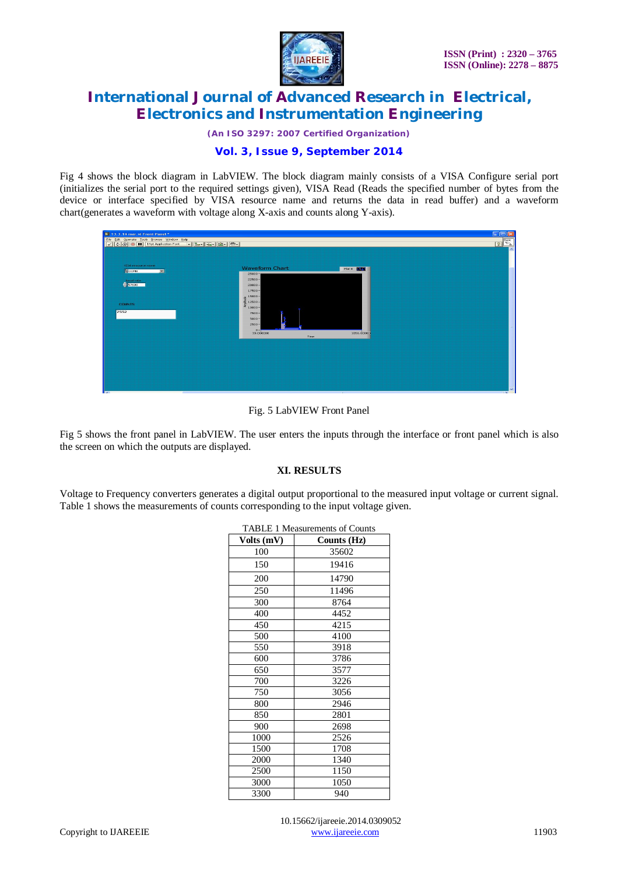

*(An ISO 3297: 2007 Certified Organization)*

# **Vol. 3, Issue 9, September 2014**

Fig 4 shows the block diagram in LabVIEW. The block diagram mainly consists of a VISA Configure serial port (initializes the serial port to the required settings given), VISA Read (Reads the specified number of bytes from the device or interface specified by VISA resource name and returns the data in read buffer) and a waveform chart(generates a waveform with voltage along X-axis and counts along Y-axis).

| 18 13.3.14 mar. vi Front Panel *                                                                     |                                                                                                                                                                                                                                                                   | $\Box$ ek<br>$\sqrt{2}$<br>$\hat{\phantom{a}}$ |
|------------------------------------------------------------------------------------------------------|-------------------------------------------------------------------------------------------------------------------------------------------------------------------------------------------------------------------------------------------------------------------|------------------------------------------------|
| VISA resource name<br><b>SCOMB</b><br>$\overline{\phantom{a}}$<br>baud rate<br><b>COUNTS</b><br>7552 | <b>Waveform Chart</b><br>Plot 0 <b>12 1</b><br>$25000 -$<br>$22500 -$<br>$20000 -$<br>$17500 -$<br>$\begin{array}{r} +6.18000 \\ +6.18000 \\ +6.18000 \\ +6.10000 \\ \end{array}$<br>$7500 -$<br>$5000 -$<br>$2500 -$<br>$0 -$<br>33.000000<br>1056.00000<br>Time |                                                |
| <b>IRC II</b>                                                                                        |                                                                                                                                                                                                                                                                   | $\frac{1}{\sqrt{2}}$                           |

Fig. 5 LabVIEW Front Panel

Fig 5 shows the front panel in LabVIEW. The user enters the inputs through the interface or front panel which is also the screen on which the outputs are displayed.

#### **XI. RESULTS**

Voltage to Frequency converters generates a digital output proportional to the measured input voltage or current signal. Table 1 shows the measurements of counts corresponding to the input voltage given.

| 17 AD LEE 1 TVICASUITCHICHTS OF COUILIS |             |  |
|-----------------------------------------|-------------|--|
| Volts (mV)                              | Counts (Hz) |  |
| 100                                     | 35602       |  |
| 150                                     | 19416       |  |
| 200                                     | 14790       |  |
| 250                                     | 11496       |  |
| 300                                     | 8764        |  |
| 400                                     | 4452        |  |
| 450                                     | 4215        |  |
| 500                                     | 4100        |  |
| 550                                     | 3918        |  |
| 600                                     | 3786        |  |
| 650                                     | 3577        |  |
| 700                                     | 3226        |  |
| 750                                     | 3056        |  |
| 800                                     | 2946        |  |
| 850                                     | 2801        |  |
| 900                                     | 2698        |  |
| 1000                                    | 2526        |  |
| 1500                                    | 1708        |  |
| 2000                                    | 1340        |  |
| 2500                                    | 1150        |  |
| 3000                                    | 1050        |  |
| 3300                                    | 940         |  |

#### TABLE 1 Measurements of Counts